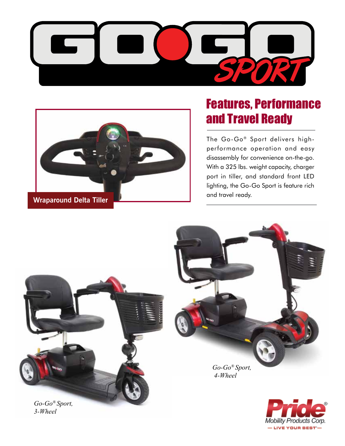



*3-Wheel*

## Features, Performance and Travel Ready

The Go-Go® Sport delivers highperformance operation and easy disassembly for convenience on-the-go. With a 325 lbs. weight capacity, charger port in tiller, and standard front LED lighting, the Go-Go Sport is feature rich and travel ready.



**Mobility Products Corp.** — LIVE YOUR BEST'-